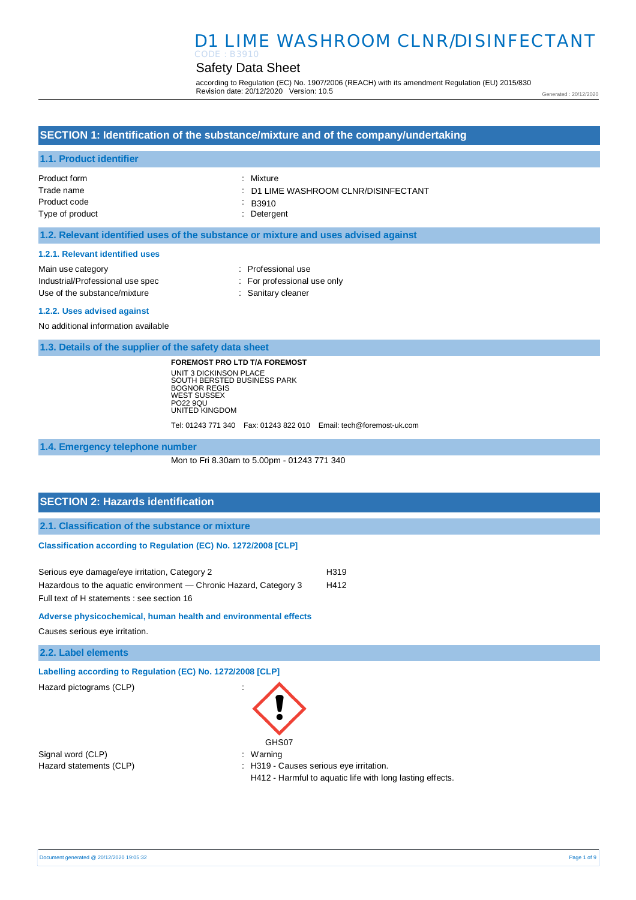## D1 LIME WASHROOM CLNR/DISINFECTANT CODE : B3910

## Safety Data Sheet

according to Regulation (EC) No. 1907/2006 (REACH) with its amendment Regulation (EU) 2015/830 Revision date: 20/12/2020 Version: 10.5

Generated : 20/12/2020

## **SECTION 1: Identification of the substance/mixture and of the company/undertaking**

### **1.1. Product identifier**

| Product form    | : Mixture                            |
|-----------------|--------------------------------------|
| Trade name      | : D1 LIME WASHROOM CLNR/DISINFECTANT |
| Product code    | $\therefore$ B3910                   |
| Type of product | : Detergent                          |
|                 |                                      |

### **1.2. Relevant identified uses of the substance or mixture and uses advised against**

#### **1.2.1. Relevant identified uses**

| Main use category                | : Professional use          |
|----------------------------------|-----------------------------|
| Industrial/Professional use spec | : For professional use only |
| Use of the substance/mixture     | : Sanitary cleaner          |

#### **1.2.2. Uses advised against**

No additional information available

**1.3. Details of the supplier of the safety data sheet**

**FOREMOST PRO LTD T/A FOREMOST** UNIT 3 DICKINSON PLACE SOUTH BERSTED BUSINESS PARK BOGNOR REGIS WEST SUSSEX PO22 9QU UNITED KINGDOM

Tel: 01243 771 340 Fax: 01243 822 010 Email: tech@foremost-uk.com

**1.4. Emergency telephone number**

Mon to Fri 8.30am to 5.00pm - 01243 771 340

## **SECTION 2: Hazards identification**

**2.1. Classification of the substance or mixture**

## **Classification according to Regulation (EC) No. 1272/2008 [CLP]**

| Serious eye damage/eye irritation, Category 2                     | H319 |
|-------------------------------------------------------------------|------|
| Hazardous to the aquatic environment — Chronic Hazard, Category 3 | H412 |
| Full text of H statements : see section 16                        |      |

## **Adverse physicochemical, human health and environmental effects**

Causes serious eye irritation.

## **2.2. Label elements**

**Labelling according to Regulation (EC) No. 1272/2008 [CLP]** 

Hazard pictograms (CLP) :

Signal word (CLP)  $\qquad \qquad$ : Warning



Hazard statements (CLP) : H319 - Causes serious eye irritation. H412 - Harmful to aquatic life with long lasting effects.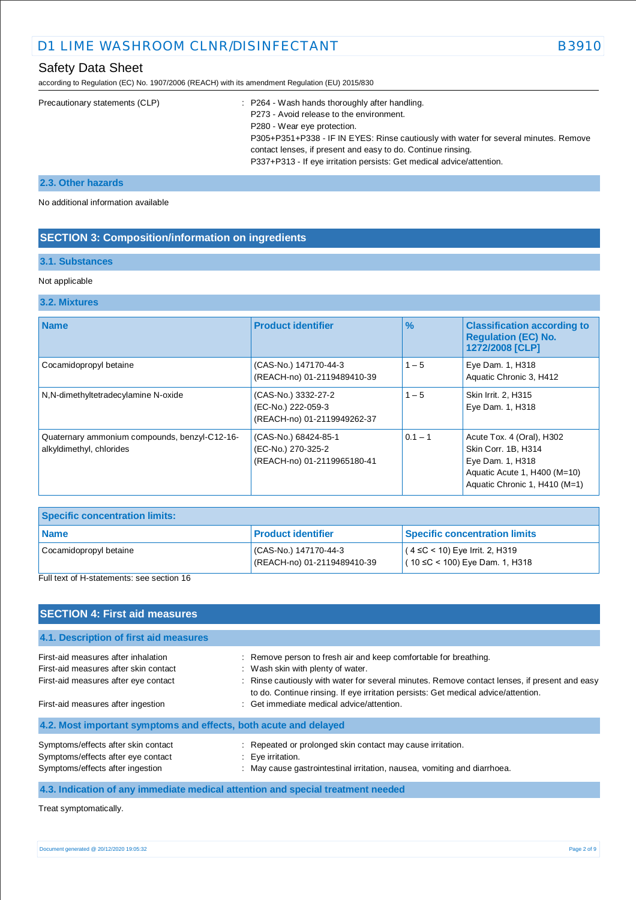# D1 LIME WASHROOM CLNR/DISINFECTANT B3910

according to Regulation (EC) No. 1907/2006 (REACH) with its amendment Regulation (EU) 2015/830

| Precautionary statements (CLP) | : P264 - Wash hands thoroughly after handling.                                       |
|--------------------------------|--------------------------------------------------------------------------------------|
|                                | P273 - Avoid release to the environment.                                             |
|                                | P280 - Wear eye protection.                                                          |
|                                | P305+P351+P338 - IF IN EYES: Rinse cautiously with water for several minutes. Remove |
|                                | contact lenses, if present and easy to do. Continue rinsing.                         |
|                                | P337+P313 - If eye irritation persists: Get medical advice/attention.                |
|                                |                                                                                      |

## **2.3. Other hazards**

No additional information available

## **SECTION 3: Composition/information on ingredients**

## **3.1. Substances**

### Not applicable

### **3.2. Mixtures**

| <b>Name</b>                                                               | <b>Product identifier</b>                                                 | $\frac{9}{6}$ | <b>Classification according to</b><br><b>Regulation (EC) No.</b><br>1272/2008 [CLP]                                                   |
|---------------------------------------------------------------------------|---------------------------------------------------------------------------|---------------|---------------------------------------------------------------------------------------------------------------------------------------|
| Cocamidopropyl betaine                                                    | (CAS-No.) 147170-44-3<br>(REACH-no) 01-2119489410-39                      | $1 - 5$       | Eye Dam. 1, H318<br>Aquatic Chronic 3, H412                                                                                           |
| N,N-dimethyltetradecylamine N-oxide                                       | (CAS-No.) 3332-27-2<br>(EC-No.) 222-059-3<br>(REACH-no) 01-2119949262-37  | $1 - 5$       | Skin Irrit. 2, H315<br>Eye Dam. 1, H318                                                                                               |
| Quaternary ammonium compounds, benzyl-C12-16-<br>alkyldimethyl, chlorides | (CAS-No.) 68424-85-1<br>(EC-No.) 270-325-2<br>(REACH-no) 01-2119965180-41 | $0.1 - 1$     | Acute Tox. 4 (Oral), H302<br>Skin Corr. 1B, H314<br>Eye Dam. 1, H318<br>Aquatic Acute 1, H400 (M=10)<br>Aquatic Chronic 1, H410 (M=1) |

| <b>Specific concentration limits:</b>                   |                                                     |                                                                              |  |
|---------------------------------------------------------|-----------------------------------------------------|------------------------------------------------------------------------------|--|
| <b>Name</b>                                             | <b>Product identifier</b>                           | <b>Specific concentration limits</b>                                         |  |
| Cocamidopropyl betaine<br>_<br>$\overline{\phantom{a}}$ | CAS-No.) 147170-44-3<br>(REACH-no) 01-2119489410-39 | $(4 \leq C < 10)$ Eye Irrit. 2, H319<br>$(10 \leq C < 100)$ Eye Dam. 1, H318 |  |

Full text of H-statements: see section 16

| <b>SECTION 4: First aid measures</b>                                                                                 |                                                                                                                                                                                                                                                                                              |
|----------------------------------------------------------------------------------------------------------------------|----------------------------------------------------------------------------------------------------------------------------------------------------------------------------------------------------------------------------------------------------------------------------------------------|
| 4.1. Description of first aid measures                                                                               |                                                                                                                                                                                                                                                                                              |
| First-aid measures after inhalation<br>First-aid measures after skin contact<br>First-aid measures after eye contact | : Remove person to fresh air and keep comfortable for breathing.<br>: Wash skin with plenty of water.<br>: Rinse cautiously with water for several minutes. Remove contact lenses, if present and easy<br>to do. Continue rinsing. If eye irritation persists: Get medical advice/attention. |
| First-aid measures after ingestion                                                                                   | : Get immediate medical advice/attention.                                                                                                                                                                                                                                                    |
| 4.2. Most important symptoms and effects, both acute and delayed                                                     |                                                                                                                                                                                                                                                                                              |
| Symptoms/effects after skin contact<br>Symptoms/effects after eye contact<br>Symptoms/effects after ingestion        | : Repeated or prolonged skin contact may cause irritation.<br>$\therefore$ Eye irritation.<br>: May cause gastrointestinal irritation, nausea, vomiting and diarrhoea.                                                                                                                       |
|                                                                                                                      | 4.3. Indication of any immediate medical attention and special treatment needed                                                                                                                                                                                                              |

Treat symptomatically.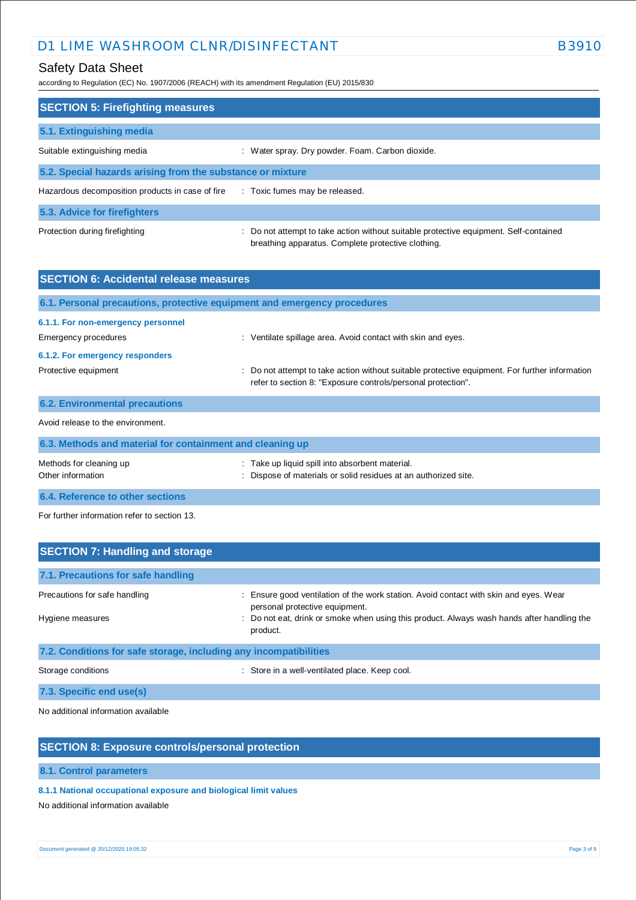# D1 LIME WASHROOM CLNR/DISINFECTANT B3910

according to Regulation (EC) No. 1907/2006 (REACH) with its amendment Regulation (EU) 2015/830

| <b>SECTION 5: Firefighting measures</b>                    |                                                                                                                                             |  |  |
|------------------------------------------------------------|---------------------------------------------------------------------------------------------------------------------------------------------|--|--|
| 5.1. Extinguishing media                                   |                                                                                                                                             |  |  |
| Suitable extinguishing media                               | : Water spray. Dry powder. Foam. Carbon dioxide.                                                                                            |  |  |
| 5.2. Special hazards arising from the substance or mixture |                                                                                                                                             |  |  |
| Hazardous decomposition products in case of fire           | : Toxic fumes may be released.                                                                                                              |  |  |
| 5.3. Advice for firefighters                               |                                                                                                                                             |  |  |
| Protection during firefighting                             | : Do not attempt to take action without suitable protective equipment. Self-contained<br>breathing apparatus. Complete protective clothing. |  |  |

| <b>SECTION 6: Accidental release measures</b>                            |                                                                                                                                                                |  |
|--------------------------------------------------------------------------|----------------------------------------------------------------------------------------------------------------------------------------------------------------|--|
| 6.1. Personal precautions, protective equipment and emergency procedures |                                                                                                                                                                |  |
| 6.1.1. For non-emergency personnel<br>Emergency procedures               | : Ventilate spillage area. Avoid contact with skin and eyes.                                                                                                   |  |
| 6.1.2. For emergency responders                                          |                                                                                                                                                                |  |
| Protective equipment                                                     | : Do not attempt to take action without suitable protective equipment. For further information<br>refer to section 8: "Exposure controls/personal protection". |  |
| <b>6.2. Environmental precautions</b>                                    |                                                                                                                                                                |  |
| Avoid release to the environment.                                        |                                                                                                                                                                |  |
| 6.3. Methods and material for containment and cleaning up                |                                                                                                                                                                |  |
| Mothode for clonning up                                                  | Toke un liquid epill into obserbent material                                                                                                                   |  |

| Methods for cleaning up          | Take up liquid spill into absorbent material.                   |  |
|----------------------------------|-----------------------------------------------------------------|--|
| Other information                | : Dispose of materials or solid residues at an authorized site. |  |
| 6.4. Reference to other sections |                                                                 |  |

For further information refer to section 13.

| <b>SECTION 7: Handling and storage</b>                            |                                                                                                                         |  |  |
|-------------------------------------------------------------------|-------------------------------------------------------------------------------------------------------------------------|--|--|
| 7.1. Precautions for safe handling                                |                                                                                                                         |  |  |
| Precautions for safe handling                                     | : Ensure good ventilation of the work station. Avoid contact with skin and eyes. Wear<br>personal protective equipment. |  |  |
| Hygiene measures                                                  | : Do not eat, drink or smoke when using this product. Always wash hands after handling the<br>product.                  |  |  |
| 7.2. Conditions for safe storage, including any incompatibilities |                                                                                                                         |  |  |
| Storage conditions                                                | : Store in a well-ventilated place. Keep cool.                                                                          |  |  |

**7.3. Specific end use(s)**

No additional information available

## **SECTION 8: Exposure controls/personal protection**

**8.1. Control parameters**

## **8.1.1 National occupational exposure and biological limit values**

No additional information available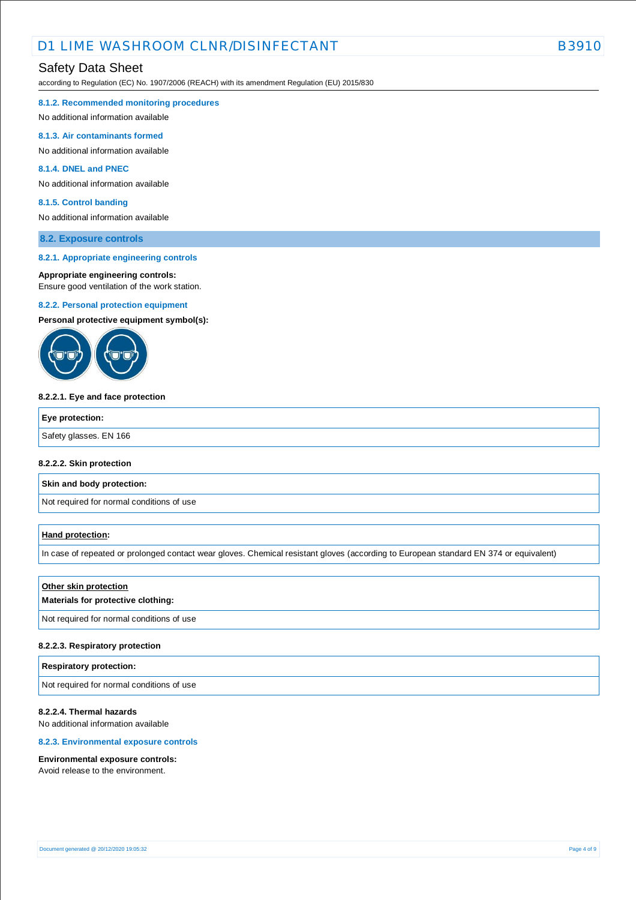# D1 LIME WASHROOM CLNR/DISINFECTANT EXAMPLE THE B39

## Safety Data Sheet

according to Regulation (EC) No. 1907/2006 (REACH) with its amendment Regulation (EU) 2015/830

#### **8.1.2. Recommended monitoring procedures**

No additional information available

#### **8.1.3. Air contaminants formed**

No additional information available

### **8.1.4. DNEL and PNEC**

No additional information available

#### **8.1.5. Control banding**

No additional information available

### **8.2. Exposure controls**

#### **8.2.1. Appropriate engineering controls**

#### **Appropriate engineering controls:**

Ensure good ventilation of the work station.

#### **8.2.2. Personal protection equipment**

**Personal protective equipment symbol(s):**



#### **8.2.2.1. Eye and face protection**

| <b>Eye protection:</b> |  |
|------------------------|--|
| Safety glasses. EN 166 |  |
|                        |  |

#### **8.2.2.2. Skin protection**

**Skin and body protection:**

Not required for normal conditions of use

#### **Hand protection:**

In case of repeated or prolonged contact wear gloves. Chemical resistant gloves (according to European standard EN 374 or equivalent)

#### **Other skin protection**

### **Materials for protective clothing:**

Not required for normal conditions of use

#### **8.2.2.3. Respiratory protection**

#### **Respiratory protection:**

Not required for normal conditions of use

## **8.2.2.4. Thermal hazards**

No additional information available

### **8.2.3. Environmental exposure controls**

#### **Environmental exposure controls:**

Avoid release to the environment.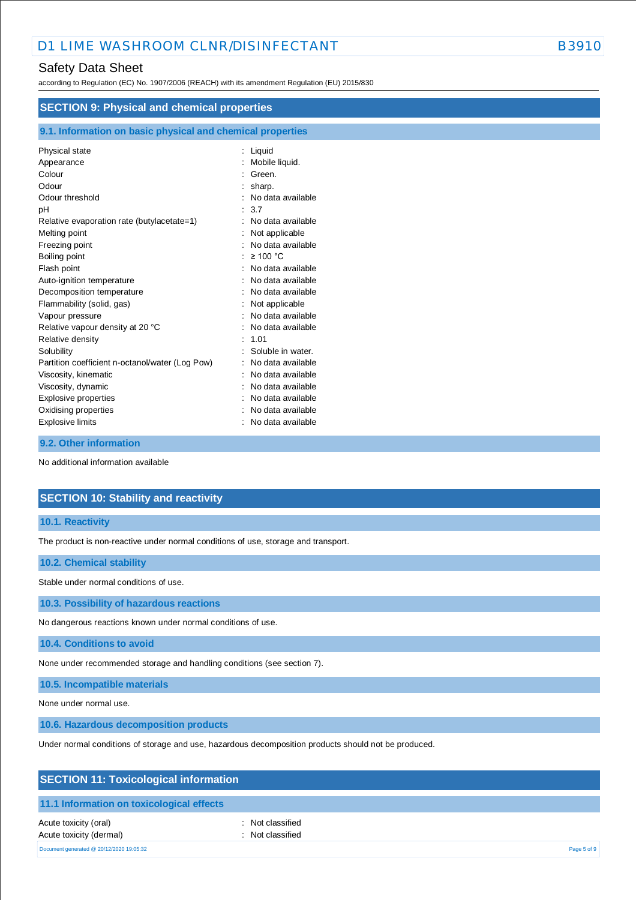## Safety Data Sheet

according to Regulation (EC) No. 1907/2006 (REACH) with its amendment Regulation (EU) 2015/830

| <b>SECTION 9: Physical and chemical properties</b>         |                     |  |
|------------------------------------------------------------|---------------------|--|
| 9.1. Information on basic physical and chemical properties |                     |  |
| Physical state                                             | : Liquid            |  |
| Appearance                                                 | Mobile liquid.      |  |
| Colour                                                     | Green.              |  |
| Odour                                                      | sharp.              |  |
| Odour threshold                                            | No data available   |  |
| рH                                                         | 3.7                 |  |
| Relative evaporation rate (butylacetate=1)                 | No data available   |  |
| Melting point                                              | Not applicable      |  |
| Freezing point                                             | No data available   |  |
| Boiling point                                              | $\geq 100$ °C       |  |
| Flash point                                                | No data available   |  |
| Auto-ignition temperature                                  | No data available   |  |
| Decomposition temperature                                  | No data available   |  |
| Flammability (solid, gas)                                  | Not applicable      |  |
| Vapour pressure                                            | No data available   |  |
| Relative vapour density at 20 °C                           | No data available   |  |
| Relative density                                           | 1.01<br>۰.          |  |
| Solubility                                                 | Soluble in water.   |  |
| Partition coefficient n-octanol/water (Log Pow)            | No data available   |  |
| Viscosity, kinematic                                       | No data available   |  |
| Viscosity, dynamic                                         | No data available   |  |
| Explosive properties                                       | No data available   |  |
| Oxidising properties                                       | No data available   |  |
| <b>Explosive limits</b>                                    | : No data available |  |

## **9.2. Other information**

No additional information available

## **SECTION 10: Stability and reactivity**

### **10.1. Reactivity**

The product is non-reactive under normal conditions of use, storage and transport.

### **10.2. Chemical stability**

Stable under normal conditions of use.

**10.3. Possibility of hazardous reactions**

No dangerous reactions known under normal conditions of use.

**10.4. Conditions to avoid**

None under recommended storage and handling conditions (see section 7).

**10.5. Incompatible materials**

None under normal use.

**10.6. Hazardous decomposition products**

Under normal conditions of storage and use, hazardous decomposition products should not be produced.

## **SECTION 11: Toxicological information**

### **11.1 Information on toxicological effects**

Acute toxicity (oral) **Example 2** Constant Acute toxicity (oral) Acute toxicity (dermal) **Example 2** and the classified in the classified

Document generated @ 20/12/2020 19:05:32 Page 5 of 9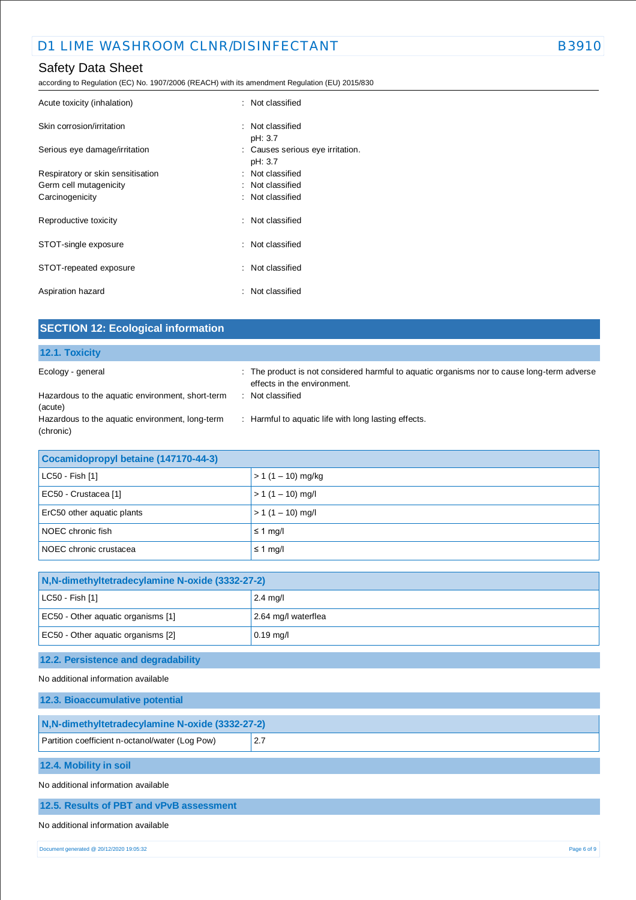# Safety Data Sheet

according to Regulation (EC) No. 1907/2006 (REACH) with its amendment Regulation (EU) 2015/830

| Acute toxicity (inhalation)       | : Not classified                            |
|-----------------------------------|---------------------------------------------|
| Skin corrosion/irritation         | : Not classified<br>pH: 3.7                 |
| Serious eye damage/irritation     | : Causes serious eye irritation.<br>pH: 3.7 |
| Respiratory or skin sensitisation | : Not classified                            |
| Germ cell mutagenicity            | : Not classified                            |
| Carcinogenicity                   | : Not classified                            |
| Reproductive toxicity             | : Not classified                            |
| STOT-single exposure              | : Not classified                            |
| STOT-repeated exposure            | : Not classified                            |
| Aspiration hazard                 | : Not classified                            |

| <b>SECTION 12: Ecological information</b>                    |                                                                                                                            |
|--------------------------------------------------------------|----------------------------------------------------------------------------------------------------------------------------|
| 12.1. Toxicity                                               |                                                                                                                            |
| Ecology - general                                            | : The product is not considered harmful to aquatic organisms nor to cause long-term adverse<br>effects in the environment. |
| Hazardous to the aquatic environment, short-term<br>(acute)  | : Not classified                                                                                                           |
| Hazardous to the aquatic environment, long-term<br>(chronic) | : Harmful to aquatic life with long lasting effects.                                                                       |
| Cocamidopropyl betaine (147170-44-3)                         |                                                                                                                            |
| LC50 - Fish [1]                                              | $> 1(1 - 10)$ mg/kg                                                                                                        |
| EC50 - Crustacea [1]                                         | $> 1(1 - 10)$ mg/l                                                                                                         |

| $\sim$                     |                           |
|----------------------------|---------------------------|
| ErC50 other aquatic plants | $\vert$ > 1 (1 – 10) mg/l |
| NOEC chronic fish          | $\leq 1$ mg/l             |
| NOEC chronic crustacea     | $\leq 1$ mg/l             |

| N, N-dimethyltetradecylamine N-oxide (3332-27-2) |                     |  |
|--------------------------------------------------|---------------------|--|
| LC50 - Fish [1]                                  | $2.4$ mg/l          |  |
| EC50 - Other aquatic organisms [1]               | 2.64 mg/l waterflea |  |
| EC50 - Other aquatic organisms [2]               | $0.19$ mg/l         |  |
| 12.2. Persistence and degradability              |                     |  |
| No additional information available              |                     |  |
| 12.3. Bioaccumulative notential                  |                     |  |

| N, N-dimethyltetradecylamine N-oxide (3332-27-2) |     |  |
|--------------------------------------------------|-----|--|
| Partition coefficient n-octanol/water (Log Pow)  | 2.7 |  |
| 12.4. Mobility in soil                           |     |  |
|                                                  |     |  |
| No additional information available              |     |  |
|                                                  |     |  |

## **12.5. Results of PBT and vPvB assessment**

## No additional information available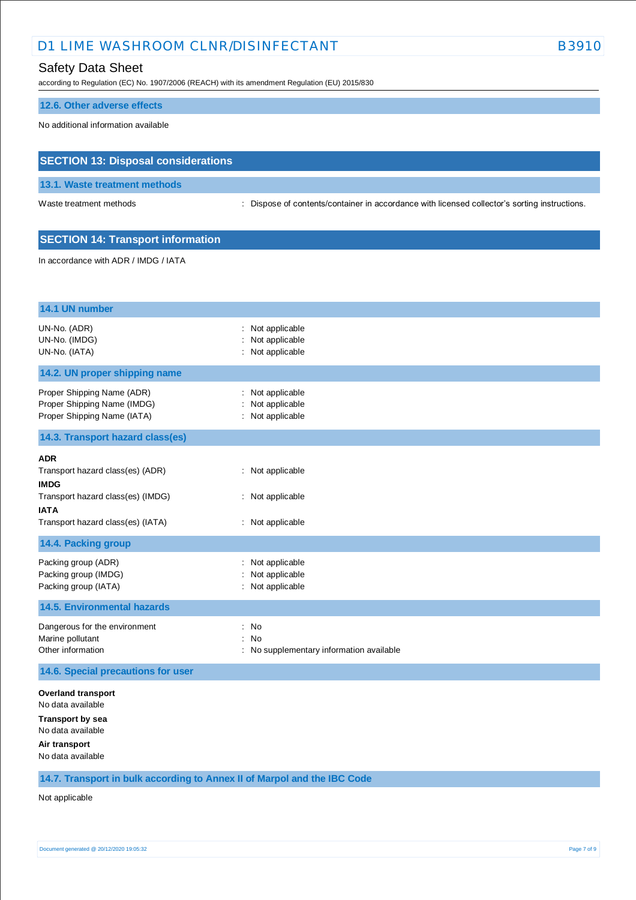# D1 LIME WASHROOM CLNR/DISINFECTANT EXAMPLE THE B3910

## Safety Data Sheet

according to Regulation (EC) No. 1907/2006 (REACH) with its amendment Regulation (EU) 2015/830

#### **12.6. Other adverse effects**

No additional information available

## **SECTION 13: Disposal considerations**

**13.1. Waste treatment methods**

Waste treatment methods : Dispose of contents/container in accordance with licensed collector's sorting instructions.

## **SECTION 14: Transport information**

In accordance with ADR / IMDG / IATA

| 14.1 UN number                                                                                                                                         |                                                           |
|--------------------------------------------------------------------------------------------------------------------------------------------------------|-----------------------------------------------------------|
| UN-No. (ADR)<br>UN-No. (IMDG)<br>UN-No. (IATA)                                                                                                         | Not applicable<br>Not applicable<br>Not applicable        |
| 14.2. UN proper shipping name                                                                                                                          |                                                           |
| Proper Shipping Name (ADR)<br>Proper Shipping Name (IMDG)<br>Proper Shipping Name (IATA)                                                               | Not applicable<br>Not applicable<br>: Not applicable      |
| 14.3. Transport hazard class(es)                                                                                                                       |                                                           |
| <b>ADR</b><br>Transport hazard class(es) (ADR)<br><b>IMDG</b><br>Transport hazard class(es) (IMDG)<br><b>IATA</b><br>Transport hazard class(es) (IATA) | : Not applicable<br>: Not applicable<br>: Not applicable  |
| 14.4. Packing group                                                                                                                                    |                                                           |
| Packing group (ADR)<br>Packing group (IMDG)<br>Packing group (IATA)                                                                                    | Not applicable<br>Not applicable<br>: Not applicable      |
| <b>14.5. Environmental hazards</b>                                                                                                                     |                                                           |
| Dangerous for the environment<br>Marine pollutant<br>Other information                                                                                 | No<br>÷<br>: No<br>No supplementary information available |
| 14.6. Special precautions for user                                                                                                                     |                                                           |
| <b>Overland transport</b><br>No data available                                                                                                         |                                                           |

**Transport by sea**

No data available

**Air transport**

No data available

**14.7. Transport in bulk according to Annex II of Marpol and the IBC Code**

Not applicable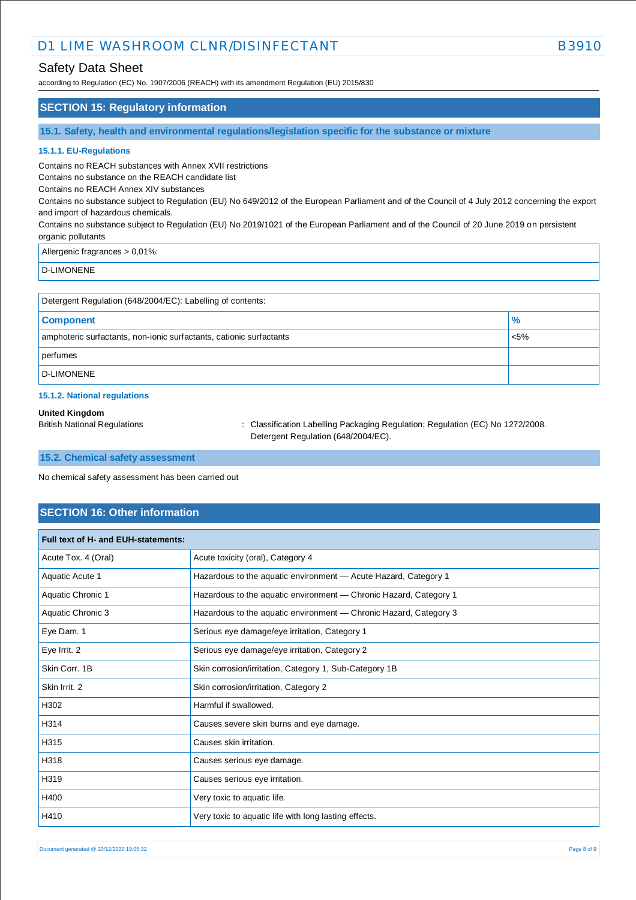# D1 LIME WASHROOM CLNR/DISINFECTANT EXAMPLE THE B3910

## Safety Data Sheet

according to Regulation (EC) No. 1907/2006 (REACH) with its amendment Regulation (EU) 2015/830

### **SECTION 15: Regulatory information**

**15.1. Safety, health and environmental regulations/legislation specific for the substance or mixture**

#### **15.1.1. EU-Regulations**

Contains no REACH substances with Annex XVII restrictions

Contains no substance on the REACH candidate list

Contains no REACH Annex XIV substances

Contains no substance subject to Regulation (EU) No 649/2012 of the European Parliament and of the Council of 4 July 2012 concerning the export and import of hazardous chemicals.

Contains no substance subject to Regulation (EU) No 2019/1021 of the European Parliament and of the Council of 20 June 2019 on persistent organic pollutants

#### Allergenic fragrances > 0,01%:

D-LIMONENE

| Detergent Regulation (648/2004/EC): Labelling of contents:          |         |  |
|---------------------------------------------------------------------|---------|--|
| <b>Component</b>                                                    | %       |  |
| amphoteric surfactants, non-ionic surfactants, cationic surfactants | $< 5\%$ |  |
| perfumes                                                            |         |  |
| <b>D-LIMONENE</b>                                                   |         |  |

#### **15.1.2. National regulations**

#### **United Kingdom**

British National Regulations : Classification Labelling Packaging Regulation; Regulation (EC) No 1272/2008. Detergent Regulation (648/2004/EC).

#### **15.2. Chemical safety assessment**

No chemical safety assessment has been carried out

### **SECTION 16: Other information**

| Full text of H- and EUH-statements: |                                                                   |  |
|-------------------------------------|-------------------------------------------------------------------|--|
| Acute Tox. 4 (Oral)                 | Acute toxicity (oral), Category 4                                 |  |
| Aquatic Acute 1                     | Hazardous to the aquatic environment - Acute Hazard, Category 1   |  |
| Aquatic Chronic 1                   | Hazardous to the aquatic environment - Chronic Hazard, Category 1 |  |
| Aquatic Chronic 3                   | Hazardous to the aquatic environment - Chronic Hazard, Category 3 |  |
| Eye Dam. 1                          | Serious eye damage/eye irritation, Category 1                     |  |
| Eye Irrit. 2                        | Serious eye damage/eye irritation, Category 2                     |  |
| Skin Corr, 1B                       | Skin corrosion/irritation, Category 1, Sub-Category 1B            |  |
| Skin Irrit. 2                       | Skin corrosion/irritation, Category 2                             |  |
| H302                                | Harmful if swallowed.                                             |  |
| H314                                | Causes severe skin burns and eye damage.                          |  |
| H315                                | Causes skin irritation.                                           |  |
| H318                                | Causes serious eye damage.                                        |  |
| H319                                | Causes serious eye irritation.                                    |  |
| H400                                | Very toxic to aquatic life.                                       |  |
| H410                                | Very toxic to aquatic life with long lasting effects.             |  |